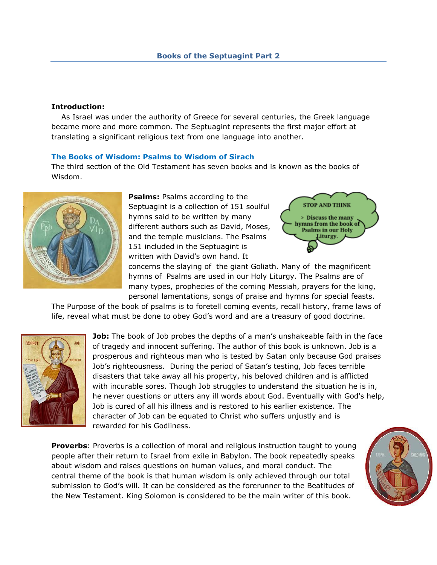#### **Introduction:**

 As Israel was under the authority of Greece for several centuries, the Greek language became more and more common. The Septuagint represents the first major effort at translating a significant religious text from one language into another.

## **The Books of Wisdom: Psalms to Wisdom of Sirach**

The third section of the Old Testament has seven books and is known as the books of Wisdom.



**Psalms: Psalms according to the** Septuagint is a collection of 151 soulful hymns said to be written by many different authors such as David, Moses, and the temple musicians. The Psalms 151 included in the Septuagint is written with David"s own hand. It



concerns the slaying of the giant Goliath. Many of the magnificent hymns of Psalms are used in our Holy Liturgy. The Psalms are of many types, prophecies of the coming Messiah, prayers for the king, personal lamentations, songs of praise and hymns for special feasts.

The Purpose of the book of psalms is to foretell coming events, recall history, frame laws of life, reveal what must be done to obey God"s word and are a treasury of good doctrine.



**Job:** The book of Job probes the depths of a man's unshakeable faith in the face of tragedy and innocent suffering. The author of this book is unknown. Job is a prosperous and righteous man who is tested by Satan only because God praises Job"s righteousness. During the period of Satan"s testing, Job faces terrible disasters that take away all his property, his beloved children and is afflicted with incurable sores. Though Job struggles to understand the situation he is in, he never questions or utters any ill words about God. Eventually with God's help, Job is cured of all his illness and is restored to his earlier existence. The character of Job can be equated to Christ who suffers unjustly and is rewarded for his Godliness.

**Proverbs**: Proverbs is a collection of moral and religious instruction taught to young people after their return to Israel from exile in Babylon. The book repeatedly speaks about wisdom and raises questions on human values, and moral conduct. The central theme of the book is that human wisdom is only achieved through our total submission to God"s will. It can be considered as the forerunner to the Beatitudes of the New Testament. King Solomon is considered to be the main writer of this book.

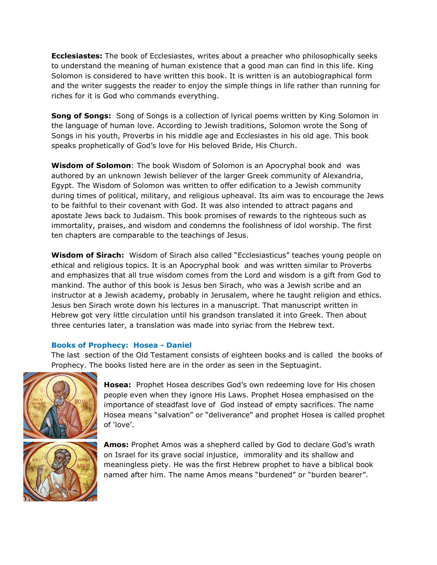**Ecclesiastes:** The book of Ecclesiastes, writes about a preacher who philosophically seeks to understand the meaning of human existence that a good man can find in this life. King Solomon is considered to have written this book. It is written is an autobiographical form and the writer suggests the reader to enjoy the simple things in life rather than running for riches for it is God who commands everything.

**Song of Songs:** Song of Songs is a collection of lyrical poems written by King Solomon in the language of human love. According to Jewish traditions, Solomon wrote the Song of Songs in his youth, Proverbs in his middle age and Ecclesiastes in his old age. This book speaks prophetically of God"s love for His beloved Bride, His Church.

**Wisdom of Solomon**: The book Wisdom of Solomon is an Apocryphal book and was authored by an unknown Jewish believer of the larger Greek community of Alexandria, Egypt. The Wisdom of Solomon was written to offer edification to a Jewish community during times of political, military, and religious upheaval. Its aim was to encourage the Jews to be faithful to their covenant with God. It was also intended to attract pagans and apostate Jews back to Judaism. This book promises of rewards to the righteous such as immortality, praises, and wisdom and condemns the foolishness of idol worship. The first ten chapters are comparable to the teachings of Jesus.

**Wisdom of Sirach:** Wisdom of Sirach also called "Ecclesiasticus" teaches young people on ethical and religious topics. It is an Apocryphal book and was written similar to Proverbs and emphasizes that all true wisdom comes from the Lord and wisdom is a gift from God to mankind. The author of this book is Jesus ben Sirach, who was a Jewish scribe and an instructor at a Jewish academy, probably in Jerusalem, where he taught religion and ethics. Jesus ben Sirach wrote down his lectures in a manuscript. That manuscript written in Hebrew got very little circulation until his grandson translated it into Greek. Then about three centuries later, a translation was made into syriac from the Hebrew text.

# **Books of Prophecy: Hosea - Daniel**

The last section of the Old Testament consists of eighteen books and is called the books of Prophecy. The books listed here are in the order as seen in the Septuagint.



**Hosea:** Prophet Hosea describes God"s own redeeming love for His chosen people even when they ignore His Laws. Prophet Hosea emphasised on the importance of steadfast love of God instead of empty sacrifices. The name Hosea means "salvation" or "deliverance" and prophet Hosea is called prophet of 'love'.

**Amos:** Prophet Amos was a shepherd called by God to declare God"s wrath on Israel for its grave social injustice, immorality and its shallow and meaningless piety. He was the first Hebrew prophet to have a biblical book named after him. The name Amos means "burdened" or "burden bearer".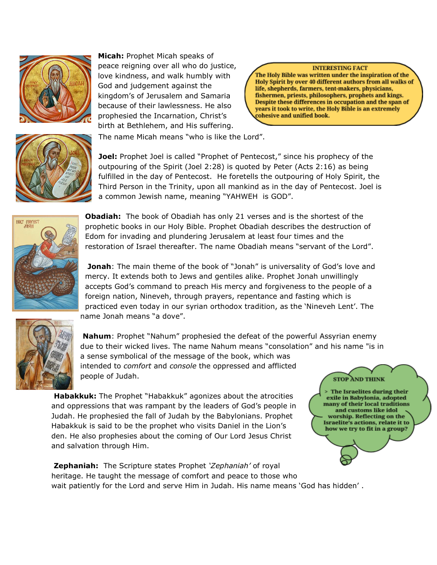

**Micah:** Prophet Micah speaks of peace reigning over all who do justice, love kindness, and walk humbly with God and judgement against the kingdom"s of Jerusalem and Samaria because of their lawlessness. He also prophesied the Incarnation, Christ's birth at Bethlehem, and His suffering.

**INTERESTING FACT** 

The Israelites during their exile in Babylonia, adopted many of their local traditions and customs like idol worship. Reflecting on the Israelite's actions, relate it to how we try to fit in a group?

The Holy Bible was written under the inspiration of the Holy Spirit by over 40 different authors from all walks of life, shepherds, farmers, tent-makers, physicians, fishermen, priests, philosophers, prophets and kings. Despite these differences in occupation and the span of years it took to write, the Holy Bible is an extremely cohesive and unified book.



The name Micah means "who is like the Lord".

**Joel:** Prophet Joel is called "Prophet of Pentecost," since his prophecy of the outpouring of the Spirit (Joel 2:28) is quoted by Peter (Acts 2:16) as being fulfilled in the day of Pentecost. He foretells the outpouring of Holy Spirit, the Third Person in the Trinity, upon all mankind as in the day of Pentecost. Joel is a common Jewish name, meaning "YAHWEH is GOD".



**Obadiah:** The book of Obadiah has only 21 verses and is the shortest of the prophetic books in our Holy Bible. Prophet Obadiah describes the destruction of Edom for invading and plundering Jerusalem at least four times and the restoration of Israel thereafter. The name Obadiah means "servant of the Lord".

**Jonah**: The main theme of the book of "Jonah" is universality of God's love and mercy. It extends both to Jews and gentiles alike. Prophet Jonah unwillingly accepts God"s command to preach His mercy and forgiveness to the people of a foreign nation, Nineveh, through prayers, repentance and fasting which is practiced even today in our syrian orthodox tradition, as the "Nineveh Lent". The name Jonah means "a dove".



**Nahum**: Prophet "Nahum" prophesied the defeat of the powerful Assyrian enemy due to their wicked lives. The name Nahum means "consolation" and his name "is in a sense symbolical of the message of the book, which was intended to *comfort* and *console* the oppressed and afflicted people of Judah. **STOP AND THINK** 

**Habakkuk:** The Prophet "Habakkuk" agonizes about the atrocities and oppressions that was rampant by the leaders of God's people in Judah. He prophesied the fall of Judah by the Babylonians. Prophet Habakkuk is said to be the prophet who visits Daniel in the Lion"s den. He also prophesies about the coming of Our Lord Jesus Christ and salvation through Him.

**Zephaniah:** The Scripture states Prophet *'Zephaniah'* of royal heritage. He taught the message of comfort and peace to those who wait patiently for the Lord and serve Him in Judah. His name means 'God has hidden'.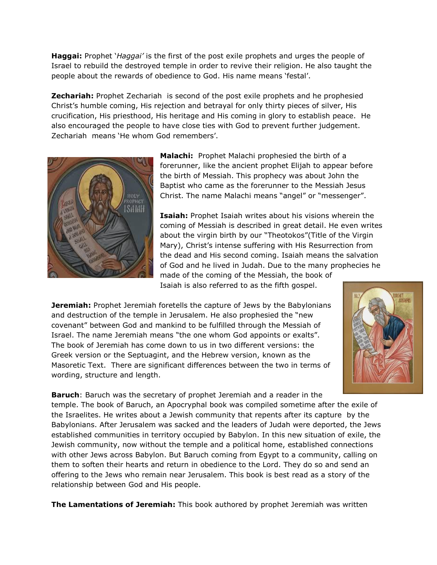**Haggai:** Prophet "*Haggai'* is the first of the post exile prophets and urges the people of Israel to rebuild the destroyed temple in order to revive their religion. He also taught the people about the rewards of obedience to God. His name means "festal".

**Zechariah:** Prophet Zechariah is second of the post exile prophets and he prophesied Christ"s humble coming, His rejection and betrayal for only thirty pieces of silver, His crucification, His priesthood, His heritage and His coming in glory to establish peace. He also encouraged the people to have close ties with God to prevent further judgement. Zechariah means 'He whom God remembers'.



**Malachi:** Prophet Malachi prophesied the birth of a forerunner, like the ancient prophet Elijah to appear before the birth of Messiah. This prophecy was about John the Baptist who came as the forerunner to the Messiah Jesus Christ. The name Malachi means "angel" or "messenger".

**Isaiah:** Prophet Isaiah writes about his visions wherein the coming of Messiah is described in great detail. He even writes about the virgin birth by our "Theotokos"(Title of the Virgin Mary), Christ's intense suffering with His Resurrection from the dead and His second coming. Isaiah means the salvation of God and he lived in Judah. Due to the many prophecies he made of the coming of the Messiah, the book of Isaiah is also referred to as the fifth gospel.

**Jeremiah:** Prophet Jeremiah foretells the capture of Jews by the Babylonians and destruction of the temple in Jerusalem. He also prophesied the "new covenant" between God and mankind to be fulfilled through the Messiah of Israel. The name Jeremiah means "the one whom God appoints or exalts". The book of Jeremiah has come down to us in two different versions: the Greek version or the Septuagint, and the Hebrew version, known as the Masoretic Text. There are significant differences between the two in terms of wording, structure and length.



**Baruch**: Baruch was the secretary of prophet Jeremiah and a reader in the temple. The book of Baruch, an Apocryphal book was compiled sometime after the exile of the Israelites. He writes about a Jewish community that repents after its capture by the Babylonians. After Jerusalem was sacked and the leaders of Judah were deported, the Jews established communities in territory occupied by Babylon. In this new situation of exile, the Jewish community, now without the temple and a political home, established connections with other Jews across Babylon. But Baruch coming from Egypt to a community, calling on them to soften their hearts and return in obedience to the Lord. They do so and send an offering to the Jews who remain near Jerusalem. This book is best read as a story of the relationship between God and His people.

**The Lamentations of Jeremiah:** This book authored by prophet Jeremiah was written